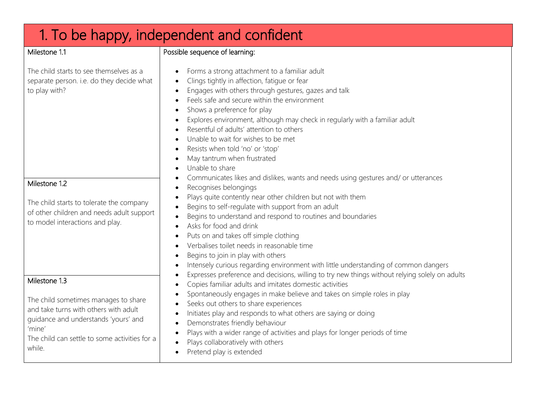## 1. To be happy, independent and confident Milestone 11 The child starts to see themselves as a separate person. i.e. do they decide what to play with? Possible sequence of learning: Forms a strong attachment to a familiar adult Clings tightly in affection, fatigue or fear Engages with others through gestures, gazes and talk Feels safe and secure within the environment Shows a preference for play Explores environment, although may check in regularly with a familiar adult Resentful of adults' attention to others Unable to wait for wishes to be met Resists when told 'no' or 'stop' May tantrum when frustrated Unable to share Communicates likes and dislikes, wants and needs using gestures and/ or utterances • Recognises belongings Plays quite contently near other children but not with them Begins to self-regulate with support from an adult Begins to understand and respond to routines and boundaries Asks for food and drink Puts on and takes off simple clothing Verbalises toilet needs in reasonable time  $\bullet$  Begins to join in play with others Intensely curious regarding environment with little understanding of common dangers Expresses preference and decisions, willing to try new things without relying solely on adults Copies familiar adults and imitates domestic activities Spontaneously engages in make believe and takes on simple roles in play Seeks out others to share experiences Initiates play and responds to what others are saying or doing Demonstrates friendly behaviour Plays with a wider range of activities and plays for longer periods of time Plays collaboratively with others • Pretend play is extended Milestone 1.2 The child starts to tolerate the company of other children and needs adult support to model interactions and play. Milestone 1.3 The child sometimes manages to share and take turns with others with adult guidance and understands 'yours' and 'mine' The child can settle to some activities for a while.